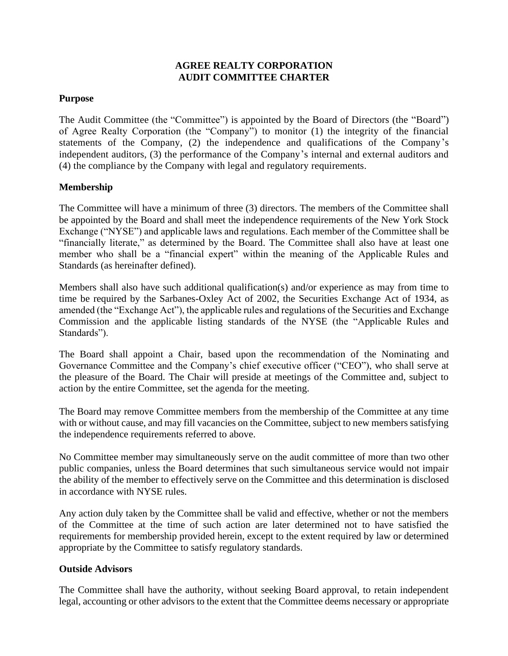# **AGREE REALTY CORPORATION AUDIT COMMITTEE CHARTER**

## **Purpose**

The Audit Committee (the "Committee") is appointed by the Board of Directors (the "Board") of Agree Realty Corporation (the "Company") to monitor (1) the integrity of the financial statements of the Company, (2) the independence and qualifications of the Company's independent auditors, (3) the performance of the Company's internal and external auditors and (4) the compliance by the Company with legal and regulatory requirements.

# **Membership**

The Committee will have a minimum of three (3) directors. The members of the Committee shall be appointed by the Board and shall meet the independence requirements of the New York Stock Exchange ("NYSE") and applicable laws and regulations. Each member of the Committee shall be "financially literate," as determined by the Board. The Committee shall also have at least one member who shall be a "financial expert" within the meaning of the Applicable Rules and Standards (as hereinafter defined).

Members shall also have such additional qualification(s) and/or experience as may from time to time be required by the Sarbanes-Oxley Act of 2002, the Securities Exchange Act of 1934, as amended (the "Exchange Act"), the applicable rules and regulations of the Securities and Exchange Commission and the applicable listing standards of the NYSE (the "Applicable Rules and Standards").

The Board shall appoint a Chair, based upon the recommendation of the Nominating and Governance Committee and the Company's chief executive officer ("CEO"), who shall serve at the pleasure of the Board. The Chair will preside at meetings of the Committee and, subject to action by the entire Committee, set the agenda for the meeting.

The Board may remove Committee members from the membership of the Committee at any time with or without cause, and may fill vacancies on the Committee, subject to new members satisfying the independence requirements referred to above.

No Committee member may simultaneously serve on the audit committee of more than two other public companies, unless the Board determines that such simultaneous service would not impair the ability of the member to effectively serve on the Committee and this determination is disclosed in accordance with NYSE rules.

Any action duly taken by the Committee shall be valid and effective, whether or not the members of the Committee at the time of such action are later determined not to have satisfied the requirements for membership provided herein, except to the extent required by law or determined appropriate by the Committee to satisfy regulatory standards.

#### **Outside Advisors**

The Committee shall have the authority, without seeking Board approval, to retain independent legal, accounting or other advisors to the extent that the Committee deems necessary or appropriate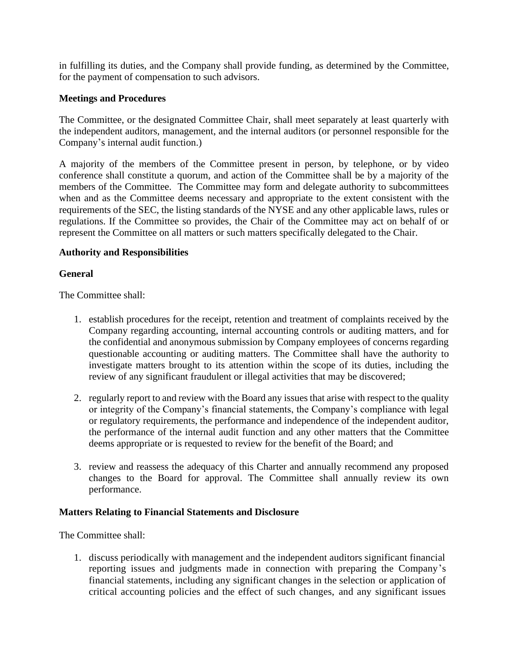in fulfilling its duties, and the Company shall provide funding, as determined by the Committee, for the payment of compensation to such advisors.

### **Meetings and Procedures**

The Committee, or the designated Committee Chair, shall meet separately at least quarterly with the independent auditors, management, and the internal auditors (or personnel responsible for the Company's internal audit function.)

A majority of the members of the Committee present in person, by telephone, or by video conference shall constitute a quorum, and action of the Committee shall be by a majority of the members of the Committee. The Committee may form and delegate authority to subcommittees when and as the Committee deems necessary and appropriate to the extent consistent with the requirements of the SEC, the listing standards of the NYSE and any other applicable laws, rules or regulations. If the Committee so provides, the Chair of the Committee may act on behalf of or represent the Committee on all matters or such matters specifically delegated to the Chair.

### **Authority and Responsibilities**

### **General**

The Committee shall:

- 1. establish procedures for the receipt, retention and treatment of complaints received by the Company regarding accounting, internal accounting controls or auditing matters, and for the confidential and anonymous submission by Company employees of concerns regarding questionable accounting or auditing matters. The Committee shall have the authority to investigate matters brought to its attention within the scope of its duties, including the review of any significant fraudulent or illegal activities that may be discovered;
- 2. regularly report to and review with the Board any issues that arise with respect to the quality or integrity of the Company's financial statements, the Company's compliance with legal or regulatory requirements, the performance and independence of the independent auditor, the performance of the internal audit function and any other matters that the Committee deems appropriate or is requested to review for the benefit of the Board; and
- 3. review and reassess the adequacy of this Charter and annually recommend any proposed changes to the Board for approval. The Committee shall annually review its own performance.

#### **Matters Relating to Financial Statements and Disclosure**

The Committee shall:

1. discuss periodically with management and the independent auditors significant financial reporting issues and judgments made in connection with preparing the Company's financial statements, including any significant changes in the selection or application of critical accounting policies and the effect of such changes, and any significant issues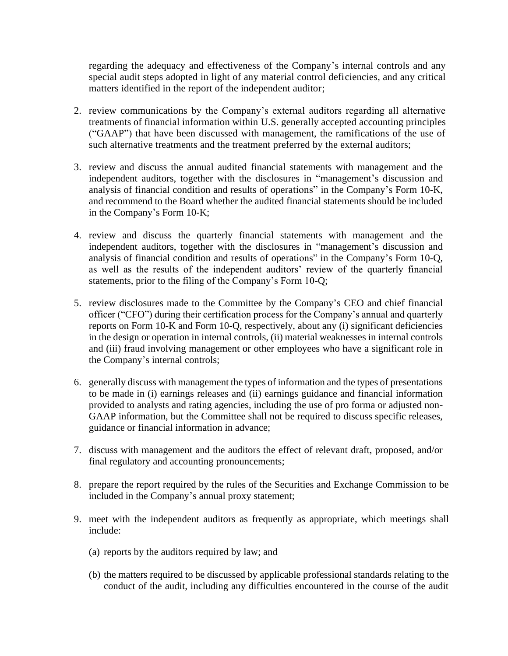regarding the adequacy and effectiveness of the Company's internal controls and any special audit steps adopted in light of any material control deficiencies, and any critical matters identified in the report of the independent auditor;

- 2. review communications by the Company's external auditors regarding all alternative treatments of financial information within U.S. generally accepted accounting principles ("GAAP") that have been discussed with management, the ramifications of the use of such alternative treatments and the treatment preferred by the external auditors;
- 3. review and discuss the annual audited financial statements with management and the independent auditors, together with the disclosures in "management's discussion and analysis of financial condition and results of operations" in the Company's Form 10-K, and recommend to the Board whether the audited financial statements should be included in the Company's Form 10-K;
- 4. review and discuss the quarterly financial statements with management and the independent auditors, together with the disclosures in "management's discussion and analysis of financial condition and results of operations" in the Company's Form 10-Q, as well as the results of the independent auditors' review of the quarterly financial statements, prior to the filing of the Company's Form 10-Q;
- 5. review disclosures made to the Committee by the Company's CEO and chief financial officer ("CFO") during their certification process for the Company's annual and quarterly reports on Form 10-K and Form 10-Q, respectively, about any (i) significant deficiencies in the design or operation in internal controls, (ii) material weaknesses in internal controls and (iii) fraud involving management or other employees who have a significant role in the Company's internal controls;
- 6. generally discuss with management the types of information and the types of presentations to be made in (i) earnings releases and (ii) earnings guidance and financial information provided to analysts and rating agencies, including the use of pro forma or adjusted non-GAAP information, but the Committee shall not be required to discuss specific releases, guidance or financial information in advance;
- 7. discuss with management and the auditors the effect of relevant draft, proposed, and/or final regulatory and accounting pronouncements;
- 8. prepare the report required by the rules of the Securities and Exchange Commission to be included in the Company's annual proxy statement;
- 9. meet with the independent auditors as frequently as appropriate, which meetings shall include:
	- (a) reports by the auditors required by law; and
	- (b) the matters required to be discussed by applicable professional standards relating to the conduct of the audit, including any difficulties encountered in the course of the audit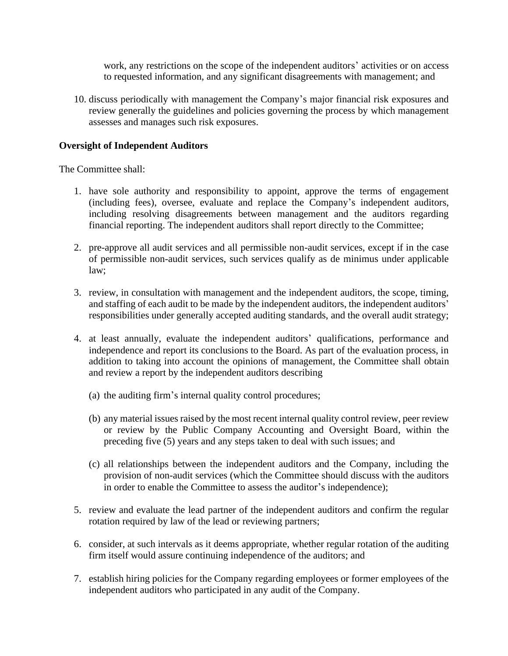work, any restrictions on the scope of the independent auditors' activities or on access to requested information, and any significant disagreements with management; and

10. discuss periodically with management the Company's major financial risk exposures and review generally the guidelines and policies governing the process by which management assesses and manages such risk exposures.

### **Oversight of Independent Auditors**

The Committee shall:

- 1. have sole authority and responsibility to appoint, approve the terms of engagement (including fees), oversee, evaluate and replace the Company's independent auditors, including resolving disagreements between management and the auditors regarding financial reporting. The independent auditors shall report directly to the Committee;
- 2. pre-approve all audit services and all permissible non-audit services, except if in the case of permissible non-audit services, such services qualify as de minimus under applicable law;
- 3. review, in consultation with management and the independent auditors, the scope, timing, and staffing of each audit to be made by the independent auditors, the independent auditors' responsibilities under generally accepted auditing standards, and the overall audit strategy;
- 4. at least annually, evaluate the independent auditors' qualifications, performance and independence and report its conclusions to the Board. As part of the evaluation process, in addition to taking into account the opinions of management, the Committee shall obtain and review a report by the independent auditors describing
	- (a) the auditing firm's internal quality control procedures;
	- (b) any material issues raised by the most recent internal quality control review, peer review or review by the Public Company Accounting and Oversight Board, within the preceding five (5) years and any steps taken to deal with such issues; and
	- (c) all relationships between the independent auditors and the Company, including the provision of non-audit services (which the Committee should discuss with the auditors in order to enable the Committee to assess the auditor's independence);
- 5. review and evaluate the lead partner of the independent auditors and confirm the regular rotation required by law of the lead or reviewing partners;
- 6. consider, at such intervals as it deems appropriate, whether regular rotation of the auditing firm itself would assure continuing independence of the auditors; and
- 7. establish hiring policies for the Company regarding employees or former employees of the independent auditors who participated in any audit of the Company.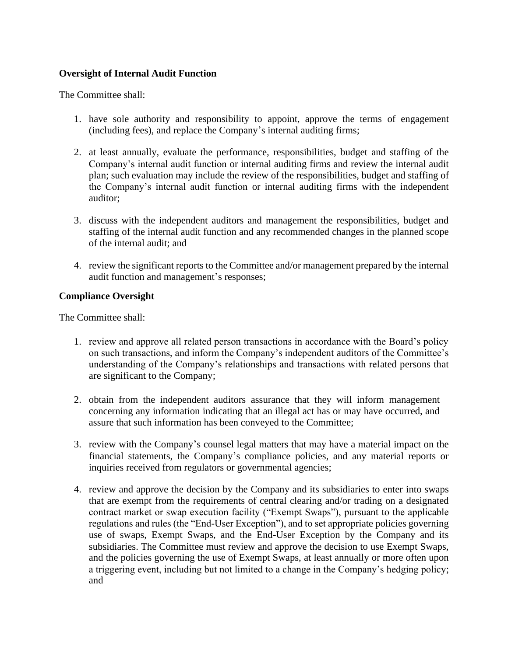# **Oversight of Internal Audit Function**

The Committee shall:

- 1. have sole authority and responsibility to appoint, approve the terms of engagement (including fees), and replace the Company's internal auditing firms;
- 2. at least annually, evaluate the performance, responsibilities, budget and staffing of the Company's internal audit function or internal auditing firms and review the internal audit plan; such evaluation may include the review of the responsibilities, budget and staffing of the Company's internal audit function or internal auditing firms with the independent auditor;
- 3. discuss with the independent auditors and management the responsibilities, budget and staffing of the internal audit function and any recommended changes in the planned scope of the internal audit; and
- 4. review the significant reports to the Committee and/or management prepared by the internal audit function and management's responses;

### **Compliance Oversight**

The Committee shall:

- 1. review and approve all related person transactions in accordance with the Board's policy on such transactions, and inform the Company's independent auditors of the Committee's understanding of the Company's relationships and transactions with related persons that are significant to the Company;
- 2. obtain from the independent auditors assurance that they will inform management concerning any information indicating that an illegal act has or may have occurred, and assure that such information has been conveyed to the Committee;
- 3. review with the Company's counsel legal matters that may have a material impact on the financial statements, the Company's compliance policies, and any material reports or inquiries received from regulators or governmental agencies;
- 4. review and approve the decision by the Company and its subsidiaries to enter into swaps that are exempt from the requirements of central clearing and/or trading on a designated contract market or swap execution facility ("Exempt Swaps"), pursuant to the applicable regulations and rules (the "End-User Exception"), and to set appropriate policies governing use of swaps, Exempt Swaps, and the End-User Exception by the Company and its subsidiaries. The Committee must review and approve the decision to use Exempt Swaps, and the policies governing the use of Exempt Swaps, at least annually or more often upon a triggering event, including but not limited to a change in the Company's hedging policy; and